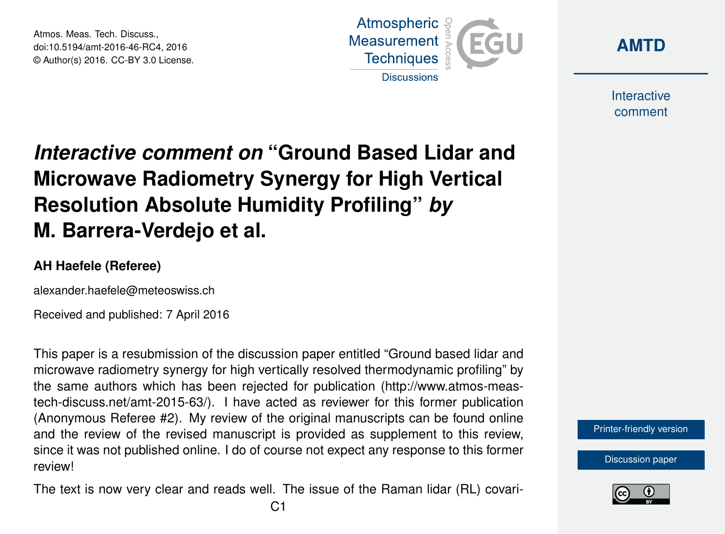Atmos. Meas. Tech. Discuss., doi:10.5194/amt-2016-46-RC4, 2016 © Author(s) 2016. CC-BY 3.0 License.





Interactive comment

## *Interactive comment on* **"Ground Based Lidar and Microwave Radiometry Synergy for High Vertical Resolution Absolute Humidity Profiling"** *by* **M. Barrera-Verdejo et al.**

## **AH Haefele (Referee)**

alexander.haefele@meteoswiss.ch

Received and published: 7 April 2016

This paper is a resubmission of the discussion paper entitled "Ground based lidar and microwave radiometry synergy for high vertically resolved thermodynamic profiling" by the same authors which has been rejected for publication (http://www.atmos-meastech-discuss.net/amt-2015-63/). I have acted as reviewer for this former publication (Anonymous Referee #2). My review of the original manuscripts can be found online and the review of the revised manuscript is provided as supplement to this review, since it was not published online. I do of course not expect any response to this former review!

The text is now very clear and reads well. The issue of the Raman lidar (RL) covari-

[Printer-friendly version](http://www.atmos-meas-tech-discuss.net/amt-2016-46/amt-2016-46-RC4-print.pdf)

[Discussion paper](http://www.atmos-meas-tech-discuss.net/amt-2016-46)

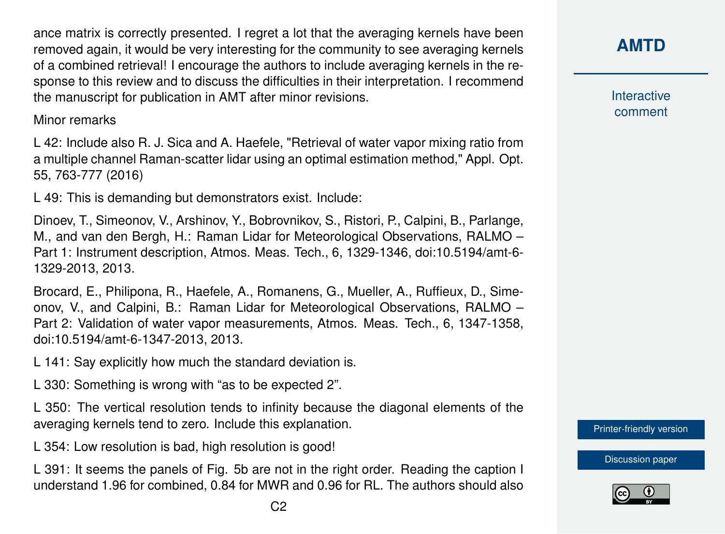ance matrix is correctly presented. I regret a lot that the averaging kernels have been removed again, it would be very interesting for the community to see averaging kernels of a combined retrieval! I encourage the authors to include averaging kernels in the response to this review and to discuss the difficulties in their interpretation. I recommend the manuscript for publication in AMT after minor revisions.

Minor remarks

L 42: Include also R. J. Sica and A. Haefele, "Retrieval of water vapor mixing ratio from a multiple channel Raman-scatter lidar using an optimal estimation method," Appl. Opt. 55, 763-777 (2016)

L 49: This is demanding but demonstrators exist. Include:

Dinoev, T., Simeonov, V., Arshinov, Y., Bobrovnikov, S., Ristori, P., Calpini, B., Parlange, M., and van den Bergh, H.: Raman Lidar for Meteorological Observations, RALMO – Part 1: Instrument description, Atmos. Meas. Tech., 6, 1329-1346, doi:10.5194/amt-6- 1329-2013, 2013.

Brocard, E., Philipona, R., Haefele, A., Romanens, G., Mueller, A., Ruffieux, D., Simeonov, V., and Calpini, B.: Raman Lidar for Meteorological Observations, RALMO – Part 2: Validation of water vapor measurements, Atmos. Meas. Tech., 6, 1347-1358, doi:10.5194/amt-6-1347-2013, 2013.

L 141: Say explicitly how much the standard deviation is.

L 330: Something is wrong with "as to be expected 2".

L 350: The vertical resolution tends to infinity because the diagonal elements of the averaging kernels tend to zero. Include this explanation.

L 354: Low resolution is bad, high resolution is good!

L 391: It seems the panels of Fig. 5b are not in the right order. Reading the caption I understand 1.96 for combined, 0.84 for MWR and 0.96 for RL. The authors should also Interactive comment

[Printer-friendly version](http://www.atmos-meas-tech-discuss.net/amt-2016-46/amt-2016-46-RC4-print.pdf)

[Discussion paper](http://www.atmos-meas-tech-discuss.net/amt-2016-46)